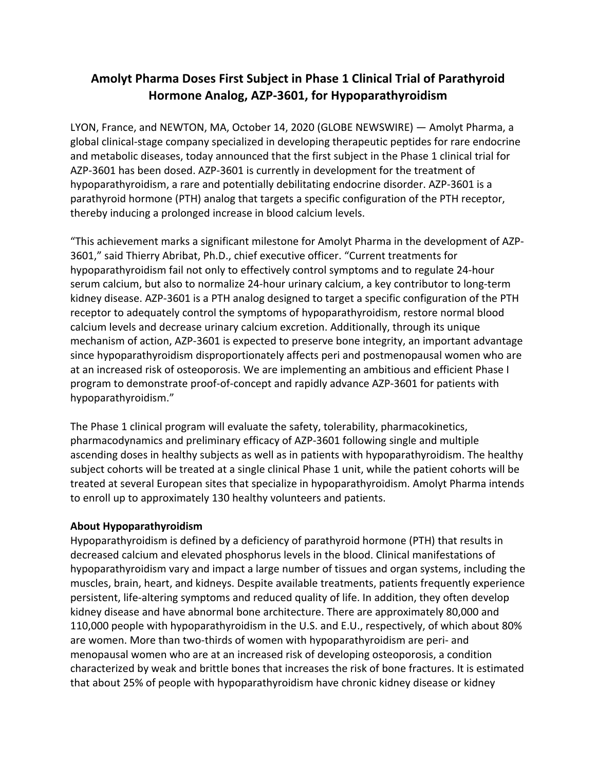## **Amolyt Pharma Doses First Subject in Phase 1 Clinical Trial of Parathyroid Hormone Analog, AZP-3601, for Hypoparathyroidism**

LYON, France, and NEWTON, MA, October 14, 2020 (GLOBE NEWSWIRE) — Amolyt Pharma, a global clinical-stage company specialized in developing therapeutic peptides for rare endocrine and metabolic diseases, today announced that the first subject in the Phase 1 clinical trial for AZP-3601 has been dosed. AZP-3601 is currently in development for the treatment of hypoparathyroidism, a rare and potentially debilitating endocrine disorder. AZP-3601 is a parathyroid hormone (PTH) analog that targets a specific configuration of the PTH receptor, thereby inducing a prolonged increase in blood calcium levels.

"This achievement marks a significant milestone for Amolyt Pharma in the development of AZP-3601," said Thierry Abribat, Ph.D., chief executive officer. "Current treatments for hypoparathyroidism fail not only to effectively control symptoms and to regulate 24-hour serum calcium, but also to normalize 24-hour urinary calcium, a key contributor to long-term kidney disease. AZP-3601 is a PTH analog designed to target a specific configuration of the PTH receptor to adequately control the symptoms of hypoparathyroidism, restore normal blood calcium levels and decrease urinary calcium excretion. Additionally, through its unique mechanism of action, AZP-3601 is expected to preserve bone integrity, an important advantage since hypoparathyroidism disproportionately affects peri and postmenopausal women who are at an increased risk of osteoporosis. We are implementing an ambitious and efficient Phase I program to demonstrate proof-of-concept and rapidly advance AZP-3601 for patients with hypoparathyroidism."

The Phase 1 clinical program will evaluate the safety, tolerability, pharmacokinetics, pharmacodynamics and preliminary efficacy of AZP-3601 following single and multiple ascending doses in healthy subjects as well as in patients with hypoparathyroidism. The healthy subject cohorts will be treated at a single clinical Phase 1 unit, while the patient cohorts will be treated at several European sites that specialize in hypoparathyroidism. Amolyt Pharma intends to enroll up to approximately 130 healthy volunteers and patients.

## **About Hypoparathyroidism**

Hypoparathyroidism is defined by a deficiency of parathyroid hormone (PTH) that results in decreased calcium and elevated phosphorus levels in the blood. Clinical manifestations of hypoparathyroidism vary and impact a large number of tissues and organ systems, including the muscles, brain, heart, and kidneys. Despite available treatments, patients frequently experience persistent, life-altering symptoms and reduced quality of life. In addition, they often develop kidney disease and have abnormal bone architecture. There are approximately 80,000 and 110,000 people with hypoparathyroidism in the U.S. and E.U., respectively, of which about 80% are women. More than two-thirds of women with hypoparathyroidism are peri- and menopausal women who are at an increased risk of developing osteoporosis, a condition characterized by weak and brittle bones that increases the risk of bone fractures. It is estimated that about 25% of people with hypoparathyroidism have chronic kidney disease or kidney